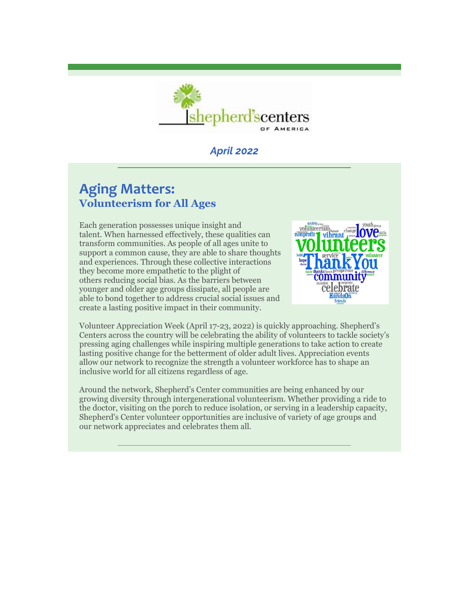

# *April 2022*

# **Aging Matters: Volunteerism for All Ages**

Each generation possesses unique insight and talent. When harnessed effectively, these qualities can transform communities. As people of all ages unite to support a common cause, they are able to share thoughts and experiences. Through these collective interactions they become more empathetic to the plight of others reducing social bias. As the barriers between younger and older age groups dissipate, all people are able to bond together to address crucial social issues and create a lasting positive impact in their community.



Volunteer Appreciation Week (April 17-23, 2022) is quickly approaching. Shepherd's Centers across the country will be celebrating the ability of volunteers to tackle society's pressing aging challenges while inspiring multiple generations to take action to create lasting positive change for the betterment of older adult lives. Appreciation events allow our network to recognize the strength a volunteer workforce has to shape an inclusive world for all citizens regardless of age.

Around the network, Shepherd's Center communities are being enhanced by our growing diversity through intergenerational volunteerism. Whether providing a ride to the doctor, visiting on the porch to reduce isolation, or serving in a leadership capacity, Shepherd's Center volunteer opportunities are inclusive of variety of age groups and our network appreciates and celebrates them all.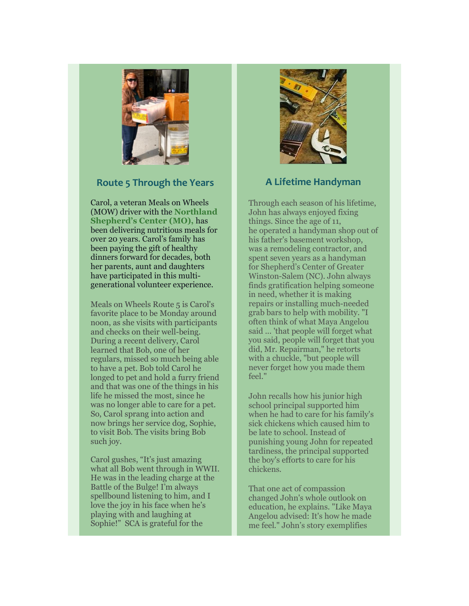

#### **Route 5 Through the Years**

Carol, a veteran Meals on Wheels (MOW) driver with the **Northland Shepherd's Center (MO),** has been delivering nutritious meals for over 20 years. Carol's family has been paying the gift of healthy dinners forward for decades, both her parents, aunt and daughters have participated in this multigenerational volunteer experience.

Meals on Wheels Route 5 is Carol's favorite place to be Monday around noon, as she visits with participants and checks on their well-being. During a recent delivery, Carol learned that Bob, one of her regulars, missed so much being able to have a pet. Bob told Carol he longed to pet and hold a furry friend and that was one of the things in his life he missed the most, since he was no longer able to care for a pet. So, Carol sprang into action and now brings her service dog, Sophie, to visit Bob. The visits bring Bob such joy.

Carol gushes, "It's just amazing what all Bob went through in WWII. He was in the leading charge at the Battle of the Bulge! I'm always spellbound listening to him, and I love the joy in his face when he's playing with and laughing at Sophie!" SCA is grateful for the



## **A Lifetime Handyman**

Through each season of his lifetime, John has always enjoyed fixing things. Since the age of 11, he operated a handyman shop out of his father's basement workshop, was a remodeling contractor, and spent seven years as a handyman for Shepherd's Center of Greater Winston-Salem (NC). John always finds gratification helping someone in need, whether it is making repairs or installing much-needed grab bars to help with mobility. "I often think of what Maya Angelou said ... 'that people will forget what you said, people will forget that you did, Mr. Repairman," he retorts with a chuckle, "but people will never forget how you made them feel."

John recalls how his junior high school principal supported him when he had to care for his family's sick chickens which caused him to be late to school. Instead of punishing young John for repeated tardiness, the principal supported the boy's efforts to care for his chickens.

That one act of compassion changed John's whole outlook on education, he explains. "Like Maya Angelou advised: It's how he made me feel." John's story exemplifies